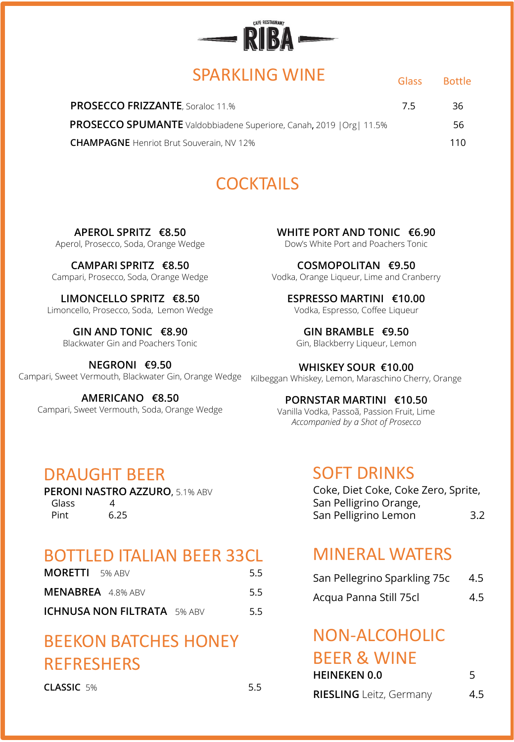

## SPARKLING WINE

Glass Bottle

| <b>PROSECCO FRIZZANTE, Soraloc 11.%</b>                                     | 75 | 36. |
|-----------------------------------------------------------------------------|----|-----|
| <b>PROSECCO SPUMANTE</b> Valdobbiadene Superiore, Canah, 2019   Org   11.5% |    | 56. |
| <b>CHAMPAGNE</b> Henriot Brut Souverain, NV 12%                             |    | 110 |

# **COCKTAILS**

**APEROL SPRITZ €8.50** Aperol, Prosecco, Soda, Orange Wedge

**CAMPARI SPRITZ €8.50** Campari, Prosecco, Soda, Orange Wedge

**LIMONCELLO SPRITZ €8.50** Limoncello, Prosecco, Soda, Lemon Wedge

**GIN AND TONIC €8.90** Blackwater Gin and Poachers Tonic

**NEGRONI €9.50** Campari, Sweet Vermouth, Blackwater Gin, Orange Wedge

**AMERICANO €8.50** Campari, Sweet Vermouth, Soda, Orange Wedge **WHITE PORT AND TONIC €6.90** Dow's White Port and Poachers Tonic

**COSMOPOLITAN €9.50** Vodka, Orange Liqueur, Lime and Cranberry

**ESPRESSO MARTINI €10.00** Vodka, Espresso, Coffee Liqueur

**GIN BRAMBLE €9.50** Gin, Blackberry Liqueur, Lemon

**WHISKEY SOUR €10.00** Kilbeggan Whiskey, Lemon, Maraschino Cherry, Orange

#### **PORNSTAR MARTINI €10.50**

Vanilla Vodka, Passoã, Passion Fruit, Lime *Accompanied by a Shot of Prosecco*

### DRAUGHT BEER

**PERONI NASTRO AZZURO**, 5.1% ABV Glass 4 Pint 6.25

#### BOTTLED ITALIAN BEER 33CL

| <b>MORETTI</b> 5% ABV         | 5.5  |
|-------------------------------|------|
| <b>MENABREA</b> 4.8% ABV      | -5.5 |
| ICHNUSA NON FILTRATA - 5% ABV |      |

# BEEKON BATCHES HONEY REFRESHERS

**CLASSIC** 5% 5.5

#### SOFT DRINKS

Coke, Diet Coke, Coke Zero, Sprite, San Pelligrino Orange, San Pelligrino Lemon 3.2

# MINERAL WATERS

| San Pellegrino Sparkling 75c | 4.5 |
|------------------------------|-----|
| Acqua Panna Still 75cl       | 4.5 |

#### NON-ALCOHOLIC BEER & WINE

| DEEN & WHILE        |  |  |  |
|---------------------|--|--|--|
| <b>HEINEKEN 0.0</b> |  |  |  |

| <b>RIESLING</b> Leitz, Germany | 4.5 |
|--------------------------------|-----|
|--------------------------------|-----|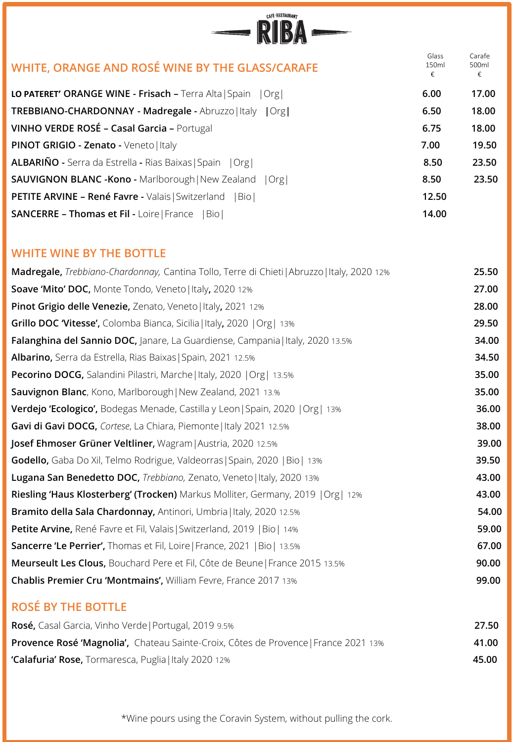| CAFE RESTAURANT                                                    |                     |                      |
|--------------------------------------------------------------------|---------------------|----------------------|
| WHITE, ORANGE AND ROSÉ WINE BY THE GLASS/CARAFE                    | Glass<br>150ml<br>€ | Carafe<br>500ml<br>€ |
| LO PATERET' ORANGE WINE - Frisach - Terra Alta   Spain   Org       | 6.00                | 17.00                |
| TREBBIANO-CHARDONNAY - Madregale - Abruzzo   Italy   Org           | 6.50                | 18.00                |
| VINHO VERDE ROSÉ - Casal Garcia - Portugal                         | 6.75                | 18.00                |
| PINOT GRIGIO - Zenato - Veneto   Italy                             | 7.00                | 19.50                |
| <b>ALBARIÑO</b> - Serra da Estrella - Rias Baixas   Spain   Org    | 8.50                | 23.50                |
| <b>SAUVIGNON BLANC - Kono - Marlborough   New Zealand</b><br>  Org | 8.50                | 23.50                |
| <b>PETITE ARVINE - René Favre - Valais   Switzerland</b><br> Bio   | 12.50               |                      |
| <b>SANCERRE - Thomas et Fil - Loire   France</b><br> Bio           | 14.00               |                      |

#### **WHITE WINE BY THE BOTTLE**

| Madregale, Trebbiano-Chardonnay, Cantina Tollo, Terre di Chieti   Abruzzo   Italy, 2020 12% | 25.50 |
|---------------------------------------------------------------------------------------------|-------|
| Soave 'Mito' DOC, Monte Tondo, Veneto   Italy, 2020 12%                                     | 27.00 |
| Pinot Grigio delle Venezie, Zenato, Veneto   Italy, 2021 12%                                | 28.00 |
| Grillo DOC 'Vitesse', Colomba Bianca, Sicilia   Italy, 2020   Org   13%                     | 29.50 |
| Falanghina del Sannio DOC, Janare, La Guardiense, Campania   Italy, 2020 13.5%              | 34.00 |
| Albarino, Serra da Estrella, Rias Baixas   Spain, 2021 12.5%                                | 34.50 |
| Pecorino DOCG, Salandini Pilastri, Marche   Italy, 2020   Org   13.5%                       | 35.00 |
| Sauvignon Blanc, Kono, Marlborough   New Zealand, 2021 13.%                                 | 35.00 |
| <b>Verdejo 'Ecologico',</b> Bodegas Menade, Castilla y Leon   Spain, 2020   Org   13%       | 36.00 |
| Gavi di Gavi DOCG, Cortese, La Chiara, Piemonte   Italy 2021 12.5%                          | 38.00 |
| Josef Ehmoser Grüner Veltliner, Wagram   Austria, 2020 12.5%                                | 39.00 |
| Godello, Gaba Do Xil, Telmo Rodrigue, Valdeorras   Spain, 2020   Bio   13%                  | 39.50 |
| Lugana San Benedetto DOC, Trebbiano, Zenato, Veneto   Italy, 2020 13%                       | 43.00 |
| Riesling 'Haus Klosterberg' (Trocken) Markus Molliter, Germany, 2019   Org   12%            | 43.00 |
| Bramito della Sala Chardonnay, Antinori, Umbria   Italy, 2020 12.5%                         | 54.00 |
| Petite Arvine, René Favre et Fil, Valais   Switzerland, 2019   Bio   14%                    | 59.00 |
| <b>Sancerre 'Le Perrier',</b> Thomas et Fil, Loire   France, 2021   Bio   13.5%             | 67.00 |
| Meurseult Les Clous, Bouchard Pere et Fil, Côte de Beune   France 2015 13.5%                | 90.00 |
| Chablis Premier Cru 'Montmains', William Fevre, France 2017 13%                             | 99.00 |
|                                                                                             |       |

### **ROSÉ BY THE BOTTLE**

| <b>Rosé,</b> Casal Garcia, Vinho Verde   Portugal, 2019 9.5%                               | 27.50 |
|--------------------------------------------------------------------------------------------|-------|
| <b>Provence Rosé 'Magnolia',</b> Chateau Sainte-Croix, Côtes de Provence   France 2021 13% | 41.00 |
| 'Calafuria' Rose, Tormaresca, Puglia   Italy 2020 12%                                      | 45.00 |

\*Wine pours using the Coravin System, without pulling the cork.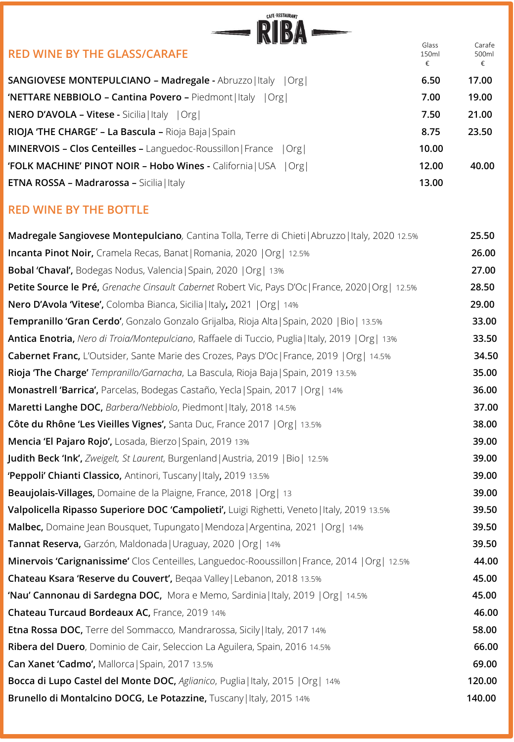| <b>CAFE-RESTAURANT</b>                                                                              |                     |                      |
|-----------------------------------------------------------------------------------------------------|---------------------|----------------------|
| <b>RED WINE BY THE GLASS/CARAFE</b>                                                                 | Glass<br>150ml<br>€ | Carafe<br>500ml<br>€ |
| SANGIOVESE MONTEPULCIANO - Madregale - Abruzzo   Italy   Org                                        | 6.50                | 17.00                |
| 'NETTARE NEBBIOLO - Cantina Povero - Piedmont   Italy   Org                                         | 7.00                | 19.00                |
| <b>NERO D'AVOLA - Vitese - Sicilia   Italy   Org  </b>                                              | 7.50                | 21.00                |
| RIOJA 'THE CHARGE' - La Bascula - Rioja Baja   Spain                                                | 8.75                | 23.50                |
| MINERVOIS - Clos Centeilles - Languedoc-Roussillon   France<br> Org                                 | 10.00               |                      |
| 'FOLK MACHINE' PINOT NOIR - Hobo Wines - California   USA   Org                                     | 12.00               | 40.00                |
| ETNA ROSSA - Madrarossa - Sicilia   Italy                                                           | 13.00               |                      |
| <b>RED WINE BY THE BOTTLE</b>                                                                       |                     |                      |
| Madregale Sangiovese Montepulciano, Cantina Tolla, Terre di Chieti   Abruzzo   Italy, 2020 12.5%    |                     | 25.50                |
| Incanta Pinot Noir, Cramela Recas, Banat   Romania, 2020   Org   12.5%                              |                     | 26.00                |
| <b>Bobal 'Chaval', Bodegas Nodus, Valencia   Spain, 2020   Org   13%</b>                            |                     | 27.00                |
| Petite Source le Pré, Grenache Cinsault Cabernet Robert Vic, Pays D'Oc   France, 2020   Org   12.5% |                     | 28.50                |
| Nero D'Avola 'Vitese', Colomba Bianca, Sicilia   Italy, 2021   Org   14%                            |                     | 29.00                |
| Tempranillo 'Gran Cerdo', Gonzalo Gonzalo Grijalba, Rioja Alta   Spain, 2020   Bio   13.5%          |                     | 33.00                |
| Antica Enotria, Nero di Troia/Montepulciano, Raffaele di Tuccio, Puglia   Italy, 2019   Org   13%   |                     | 33.50                |
| Cabernet Franc, L'Outsider, Sante Marie des Crozes, Pays D'Oc   France, 2019   Org   14.5%          |                     | 34.50                |
| Rioja 'The Charge' Tempranillo/Garnacha, La Bascula, Rioja Baja   Spain, 2019 13.5%                 |                     | 35.00                |
| Monastrell 'Barrica', Parcelas, Bodegas Castaño, Yecla   Spain, 2017   Org   14%                    |                     | 36.00                |
| Maretti Langhe DOC, Barbera/Nebbiolo, Piedmont   Italy, 2018 14.5%                                  |                     | 37.00                |
| Côte du Rhône 'Les Vieilles Vignes', Santa Duc, France 2017   Org   13.5%                           |                     | 38.00                |
| Mencia 'El Pajaro Rojo', Losada, Bierzo   Spain, 2019 13%                                           |                     | 39.00                |
| Judith Beck 'Ink', Zweigelt, St Laurent, Burgenland   Austria, 2019   Bio   12.5%                   |                     | 39.00                |
| 'Peppoli' Chianti Classico, Antinori, Tuscany   Italy, 2019 13.5%                                   |                     | 39.00                |
| Beaujolais-Villages, Domaine de la Plaigne, France, 2018   Org   13                                 |                     | 39.00                |

| Valpolicella Ripasso Superiore DOC 'Campolieti', Luigi Righetti, Veneto   Italy, 2019 13.5%    | 39.50  |
|------------------------------------------------------------------------------------------------|--------|
| Malbec, Domaine Jean Bousquet, Tupungato   Mendoza   Argentina, 2021   Org   14%               | 39.50  |
| Tannat Reserva, Garzón, Maldonada   Uraguay, 2020   Org   14%                                  | 39.50  |
| Minervois 'Carignanissime' Clos Centeilles, Languedoc-Rooussillon   France, 2014   Org   12.5% | 44.00  |
| Chateau Ksara 'Reserve du Couvert', Begaa Valley   Lebanon, 2018 13.5%                         | 45.00  |
| 'Nau' Cannonau di Sardegna DOC, Mora e Memo, Sardinia   Italy, 2019   Org   14.5%              | 45.00  |
| Chateau Turcaud Bordeaux AC, France, 2019 14%                                                  | 46.00  |
| <b>Etna Rossa DOC, Terre del Sommacco, Mandrarossa, Sicily   Italy, 2017 14%</b>               | 58.00  |
| Ribera del Duero, Dominio de Cair, Seleccion La Aguilera, Spain, 2016 14.5%                    | 66.00  |
| Can Xanet 'Cadmo', Mallorca   Spain, 2017 13.5%                                                | 69.00  |
| Bocca di Lupo Castel del Monte DOC, Aglianico, Puglia   Italy, 2015   Org   14%                | 120.00 |
| Brunello di Montalcino DOCG, Le Potazzine, Tuscany   Italy, 2015 14%                           | 140.00 |
|                                                                                                |        |